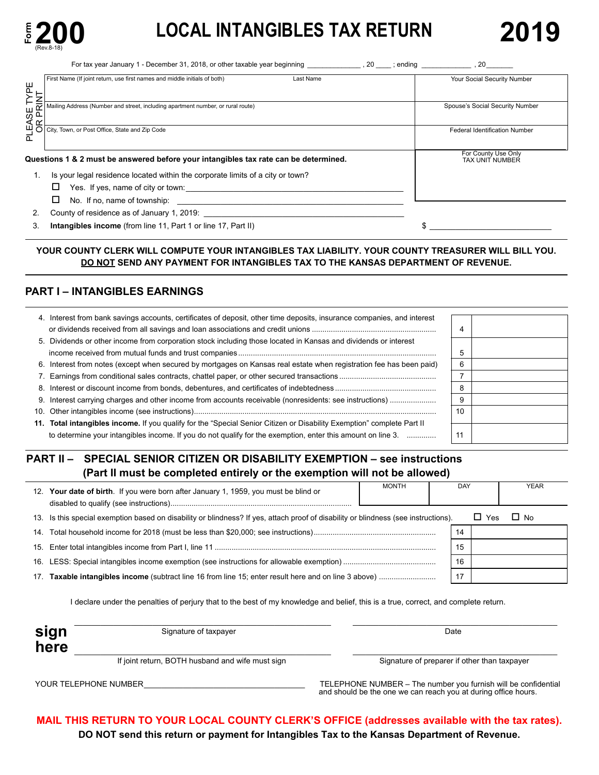

# **200 LOCAL INTANGIBLES TAX RETURN**

|                  | For tax year January 1 - December 31, 2018, or other taxable year beginning                                          | $, 20$ ; ending<br>20                  |
|------------------|----------------------------------------------------------------------------------------------------------------------|----------------------------------------|
| TYPE             | First Name (If joint return, use first names and middle initials of both)<br>Last Name                               | Your Social Security Number            |
|                  | Mailing Address (Number and street, including apartment number, or rural route)                                      | Spouse's Social Security Number        |
| PLEASE<br>OR PRI | City, Town, or Post Office, State and Zip Code                                                                       | Federal Identification Number          |
|                  | Questions 1 & 2 must be answered before your intangibles tax rate can be determined.                                 | For County Use Only<br>TAX UNIT NUMBER |
| 1.               | Is your legal residence located within the corporate limits of a city or town?                                       |                                        |
|                  | Yes. If yes, name of city or town: Yes are all the set of the set of the Security of the Security of the Securi<br>⊔ |                                        |
|                  | No. If no, name of township:<br>the contract of the contract of the contract of the contract of the contract of      |                                        |
| 2.               | County of residence as of January 1, 2019:                                                                           |                                        |
| 3.               | <b>Intangibles income</b> (from line 11, Part 1 or line 17, Part II)                                                 |                                        |

## **YOUR COUNTY CLERK WILL COMPUTE YOUR INTANGIBLES TAX LIABILITY. YOUR COUNTY TREASURER WILL BILL YOU. DO NOT SEND ANY PAYMENT FOR INTANGIBLES TAX TO THE KANSAS DEPARTMENT OF REVENUE.**

## **PART I – INTANGIBLES EARNINGS**

| 4. Interest from bank savings accounts, certificates of deposit, other time deposits, insurance companies, and interest |    |  |
|-------------------------------------------------------------------------------------------------------------------------|----|--|
|                                                                                                                         | 4  |  |
| 5. Dividends or other income from corporation stock including those located in Kansas and dividends or interest         |    |  |
|                                                                                                                         |    |  |
| 6. Interest from notes (except when secured by mortgages on Kansas real estate when registration fee has been paid)     |    |  |
|                                                                                                                         |    |  |
|                                                                                                                         |    |  |
|                                                                                                                         |    |  |
|                                                                                                                         | 10 |  |
| 11. Total intangibles income. If you qualify for the "Special Senior Citizen or Disability Exemption" complete Part II  |    |  |
| to determine your intangibles income. If you do not qualify for the exemption, enter this amount on line 3.             | 11 |  |

## **PART II – SPECIAL SENIOR CITIZEN OR DISABILITY EXEMPTION – see instructions (Part II must be completed entirely or the exemption will not be allowed)**

|                 | 12. Your date of birth. If you were born after January 1, 1959, you must be blind or                                                | <b>MONTH</b> | <b>DAY</b> |            | <b>YEAR</b> |  |
|-----------------|-------------------------------------------------------------------------------------------------------------------------------------|--------------|------------|------------|-------------|--|
|                 | 13. Is this special exemption based on disability or blindness? If yes, attach proof of disability or blindness (see instructions). |              |            | $\Box$ Yes | $\Box$ No   |  |
| 14.             |                                                                                                                                     |              | 14         |            |             |  |
|                 |                                                                                                                                     |              | 15         |            |             |  |
| 16.             |                                                                                                                                     |              | 16         |            |             |  |
| 17 <sub>1</sub> |                                                                                                                                     |              | 17         |            |             |  |

I declare under the penalties of perjury that to the best of my knowledge and belief, this is a true, correct, and complete return.

| Signature of taxpayer                            | Date                                         |
|--------------------------------------------------|----------------------------------------------|
|                                                  |                                              |
| If joint return, BOTH husband and wife must sign | Signature of preparer if other than taxpayer |

\_\_\_\_\_\_\_\_\_\_\_\_\_\_\_\_\_\_\_\_\_\_\_\_\_\_\_\_\_\_\_\_\_\_\_\_\_

YOUR TELEPHONE NUMBER TELEPHONE NUMBER – The number you furnish will be confidential and should be the one we can reach you at during office hours.

**MAIL THIS RETURN TO YOUR LOCAL COUNTY CLERK'S OFFICE (addresses available with the tax rates). DO NOT send this return or payment for Intangibles Tax to the Kansas Department of Revenue.**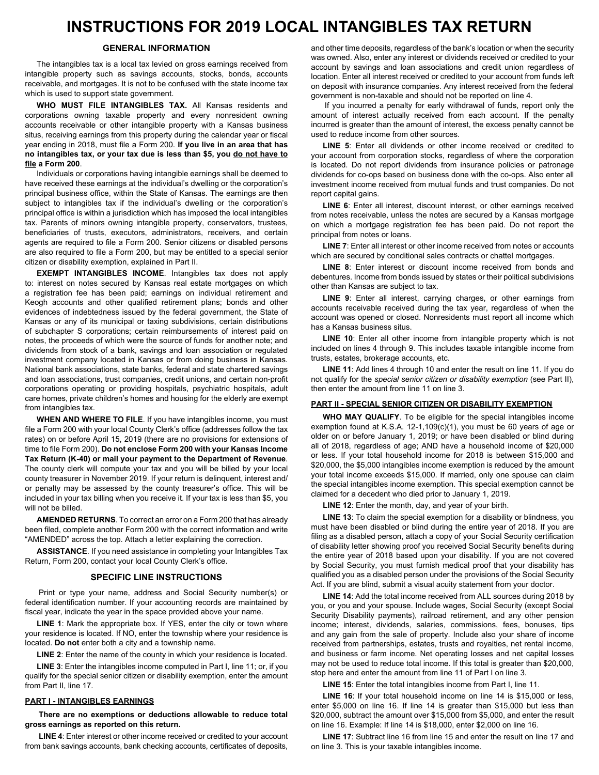## **INSTRUCTIONS FOR 2019 LOCAL INTANGIBLES TAX RETURN**

## **GENERAL INFORMATION**

The intangibles tax is a local tax levied on gross earnings received from intangible property such as savings accounts, stocks, bonds, accounts receivable, and mortgages. It is not to be confused with the state income tax which is used to support state government.

WHO MUST FILE INTANGIBLES TAX. All Kansas residents and corporations owning taxable property and every nonresident owning accounts receivable or other intangible property with a Kansas business situs, receiving earnings from this property during the calendar year or fiscal year ending in 2018, must file a Form 200. If you live in an area that has **no intangibles tax, or your tax due is less than \$5, you do not have to file a Form 200**.

Individuals or corporations having intangible earnings shall be deemed to have received these earnings at the individual's dwelling or the corporation's principal business office, within the State of Kansas. The earnings are then subject to intangibles tax if the individual's dwelling or the corporation's principal office is within a jurisdiction which has imposed the local intangibles tax. Parents of minors owning intangible property, conservators, trustees, beneficiaries of trusts, executors, administrators, receivers, and certain agents are required to file a Form 200. Senior citizens or disabled persons are also required to file a Form 200, but may be entitled to a special senior citizen or disability exemption, explained in Part II.

**EXEMPT INTANGIBLES INCOME**. Intangibles tax does not apply to: interest on notes secured by Kansas real estate mortgages on which a registration fee has been paid; earnings on individual retirement and Keogh accounts and other qualified retirement plans; bonds and other evidences of indebtedness issued by the federal government, the State of Kansas or any of its municipal or taxing subdivisions, certain distributions of subchapter S corporations; certain reimbursements of interest paid on notes, the proceeds of which were the source of funds for another note; and dividends from stock of a bank, savings and loan association or regulated investment company located in Kansas or from doing business in Kansas. National bank associations, state banks, federal and state chartered savings and loan associations, trust companies, credit unions, and certain non-profit corporations operating or providing hospitals, psychiatric hospitals, adult care homes, private children's homes and housing for the elderly are exempt from intangibles tax.

**WHEN AND WHERE TO FILE**. If you have intangibles income, you must file a Form 200 with your local County Clerk's office (addresses follow the tax rates) on or before April 15, 2019 (there are no provisions for extensions of time to file Form 200). Do not enclose Form 200 with your Kansas Income **Tax Return (K-40) or mail your payment to the Department of Revenue**. The county clerk will compute your tax and you will be billed by your local county treasurer in November 2019. If your return is delinquent, interest and/ or penalty may be assessed by the county treasurer's office. This will be included in your tax billing when you receive it. If your tax is less than \$5, you will not be billed.

**AMENDED RETURNS**. To correct an error on a Form 200 that has already been filed, complete another Form 200 with the correct information and write "AMENDED" across the top. Attach a letter explaining the correction.

**ASSISTANCE**. If you need assistance in completing your Intangibles Tax Return, Form 200, contact your local County Clerk's office.

### **SPECIFIC LINE INSTRUCTIONS**

Print or type your name, address and Social Security number(s) or federal identification number. If your accounting records are maintained by fiscal year, indicate the year in the space provided above your name.

**LINE 1**: Mark the appropriate box. If YES, enter the city or town where your residence is located. If NO, enter the township where your residence is located. **Do not** enter both a city and a township name.

**LINE 2:** Enter the name of the county in which your residence is located.

**LINE 3:** Enter the intangibles income computed in Part I, line 11; or, if you qualify for the special senior citizen or disability exemption, enter the amount from Part II, line 17.

### **PART I - INTANGIBLES EARNINGS**

**There are no exemptions or deductions allowable to reduce total gross earnings as reported on this return.**

**LINE 4:** Enter interest or other income received or credited to your account from bank savings accounts, bank checking accounts, certificates of deposits, and other time deposits, regardless of the bank's location or when the security was owned. Also, enter any interest or dividends received or credited to your account by savings and loan associations and credit union regardless of location. Enter all interest received or credited to your account from funds left on deposit with insurance companies. Any interest received from the federal government is non-taxable and should not be reported on line 4.

If you incurred a penalty for early withdrawal of funds, report only the amount of interest actually received from each account. If the penalty incurred is greater than the amount of interest, the excess penalty cannot be used to reduce income from other sources.

LINE 5: Enter all dividends or other income received or credited to your account from corporation stocks, regardless of where the corporation is located. Do not report dividends from insurance policies or patronage dividends for co-ops based on business done with the co-ops. Also enter all investment income received from mutual funds and trust companies. Do not report capital gains.

**LINE 6**: Enter all interest, discount interest, or other earnings received from notes receivable, unless the notes are secured by a Kansas mortgage on which a mortgage registration fee has been paid. Do not report the principal from notes or loans.

**LINE 7:** Enter all interest or other income received from notes or accounts which are secured by conditional sales contracts or chattel mortgages.

**LINE 8:** Enter interest or discount income received from bonds and debentures. Income from bonds issued by states or their political subdivisions other than Kansas are subject to tax.

LINE 9: Enter all interest, carrying charges, or other earnings from accounts receivable received during the tax year, regardless of when the account was opened or closed. Nonresidents must report all income which has a Kansas business situs.

**LINE 10**: Enter all other income from intangible property which is not included on lines 4 through 9. This includes taxable intangible income from trusts, estates, brokerage accounts, etc.

**LINE 11:** Add lines 4 through 10 and enter the result on line 11. If you do not qualify for the *special senior citizen or disability exemption* (see Part II), then enter the amount from line 11 on line 3.

## **PART II - SPECIAL SENIOR CITIZEN OR DISABILITY EXEMPTION**

**WHO MAY QUALIFY**. To be eligible for the special intangibles income exemption found at K.S.A.  $12-1,109(c)(1)$ , you must be 60 years of age or older on or before January 1, 2019; or have been disabled or blind during all of 2018, regardless of age; AND have a household income of \$20,000 or less. If your total household income for 2018 is between \$15,000 and \$20,000, the \$5,000 intangibles income exemption is reduced by the amount your total income exceeds \$15,000. If married, only one spouse can claim the special intangibles income exemption. This special exemption cannot be claimed for a decedent who died prior to January 1, 2019.

LINE 12: Enter the month, day, and year of your birth.

LINE 13: To claim the special exemption for a disability or blindness, you must have been disabled or blind during the entire year of 2018. If you are filing as a disabled person, attach a copy of your Social Security certification of disability letter showing proof you received Social Security benefits during the entire year of 2018 based upon your disability. If you are not covered by Social Security, you must furnish medical proof that your disability has qualified you as a disabled person under the provisions of the Social Security Act. If you are blind, submit a visual acuity statement from your doctor.

**LINE 14:** Add the total income received from ALL sources during 2018 by you, or you and your spouse. Include wages, Social Security (except Social Security Disability payments), railroad retirement, and any other pension income; interest, dividends, salaries, commissions, fees, bonuses, tips and any gain from the sale of property. Include also your share of income received from partnerships, estates, trusts and royalties, net rental income, and business or farm income. Net operating losses and net capital losses may not be used to reduce total income. If this total is greater than \$20,000, stop here and enter the amount from line 11 of Part I on line 3.

**LINE 15:** Enter the total intangibles income from Part I, line 11.

**LINE 16:** If your total household income on line 14 is \$15,000 or less, enter \$5,000 on line 16. If line 14 is greater than \$15,000 but less than \$20,000, subtract the amount over \$15,000 from \$5,000, and enter the result on line 16. Example: If line 14 is \$18,000, enter \$2,000 on line 16.

LINE 17: Subtract line 16 from line 15 and enter the result on line 17 and on line 3. This is your taxable intangibles income.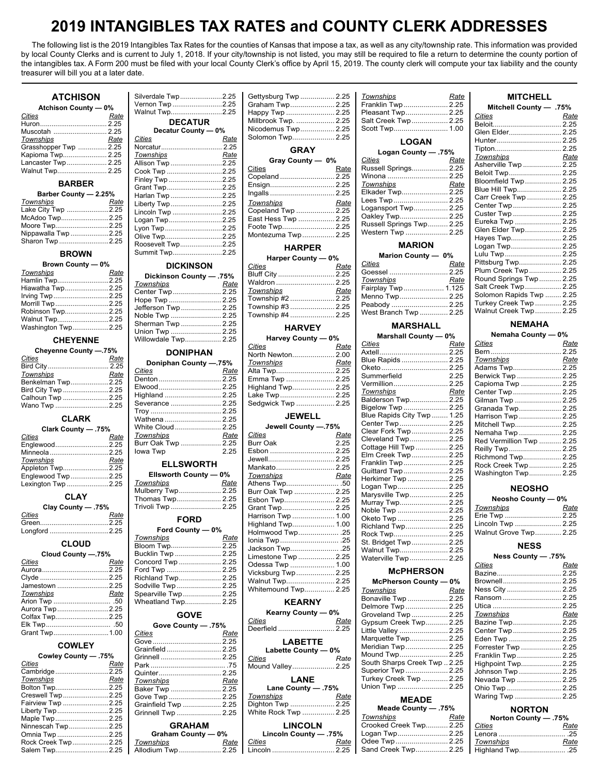## **2019 INTANGIBLES TAX RATES and COUNTY CLERK ADDRESSES**

The following list is the 2019 Intangibles Tax Rates for the counties of Kansas that impose a tax, as well as any city/township rate. This information was provided by local County Clerks and is current to July 1, 2018. If your city/township is not listed, you may still be required to file a return to determine the county portion of the intangibles tax. A Form 200 must be filed with your local County Clerk's office by April 15, 2019. The county clerk will compute your tax liability and the county treasurer will bill you at a later date.

## **ATCHISON**

| <b>Atchison County - 0%</b> |      |  |
|-----------------------------|------|--|
| Cities                      | Rate |  |
|                             |      |  |
|                             |      |  |
| Townships                   | Rate |  |
| Grasshopper Twp  2.25       |      |  |
| Kapioma Twp 2.25            |      |  |
| Lancaster Twp  2.25         |      |  |
| Walnut Twp 2.25             |      |  |

## **BARBER**

| Barber County - 2.25% |  |
|-----------------------|--|
| Rate                  |  |
| Lake City Twp 2.25    |  |
| McAdoo Twp2.25        |  |
| Moore Twp2.25         |  |
| Nippawalla Twp 2.25   |  |
| Sharon Twp 2.25       |  |
|                       |  |

#### **BROWN**

| Brown County — 0% |  |
|-------------------|--|
|                   |  |

| 50000119001118     |      |  |
|--------------------|------|--|
| Townships          | Rate |  |
| Hamlin Twp2.25     |      |  |
| Hiawatha Twp2.25   |      |  |
| Irving Twp2.25     |      |  |
| Morrill Twp2.25    |      |  |
| Robinson Twp2.25   |      |  |
| Walnut Twp2.25     |      |  |
| Washington Twp2.25 |      |  |
|                    |      |  |

## **CHEYENNE**

| Cheyenne County -.75% |      |  |
|-----------------------|------|--|
| Cities                | Rate |  |
|                       |      |  |
| Townships             | Rate |  |
| Benkelman Twp2.25     |      |  |
| Bird City Twp 2.25    |      |  |
| Calhoun Twp 2.25      |      |  |
| Wano Twp 2.25         |      |  |

## **CLARK**

| .75% - Clark County |      |  |
|---------------------|------|--|
| <b>Cities</b>       | Rate |  |
| Englewood2.25       |      |  |
|                     |      |  |
| Townships           | Rate |  |
| Appleton Twp2.25    |      |  |
| Englewood Twp2.25   |      |  |
| Lexington Twp 2.25  |      |  |

#### **CLAY**

| Clay County - 75% |      |  |
|-------------------|------|--|
| Cities            | Rate |  |
|                   |      |  |
| Longford 2.25     |      |  |

## **CLOUD**

| Cloud County -.75% |      |  |
|--------------------|------|--|
| Cities             | Rate |  |
|                    |      |  |
|                    |      |  |
| Jamestown 2.25     |      |  |
| Townships          | Rate |  |
|                    |      |  |
| Aurora Twp2.25     |      |  |
| Colfax Twp2.25     |      |  |
|                    |      |  |
| Grant Twp1.00      |      |  |

## **COWLEY**

| 75%. Cowley County - .75% |      |
|---------------------------|------|
| Cities                    | Rate |
| Cambridge2.25             |      |
| Townships                 | Rate |
| Bolton Twp2.25            |      |
| Creswell Twp 2.25         |      |
| Fairview Twp 2.25         |      |
| Liberty Twp2.25           |      |
| Maple Twp2.25             |      |
| Ninnescah Twp2.25         |      |
| Omnia Twp 2.25            |      |
| Rock Creek Twp2.25        |      |
| Salem Twp2.25             |      |

| Silverdale Twp2.25<br>Vernon Twp 2.25 |      |
|---------------------------------------|------|
| Walnut Twp2.25                        |      |
| <b>DECATUR</b>                        |      |
| Decatur County - 0%                   |      |
| Cities                                | Rate |
| Norcatur 2.25                         |      |
| Townships                             | Rate |
| Allison Twp 2.25                      |      |
| Cook Twp 2.25                         |      |
| Finley Twp 2.25                       |      |
| Grant Twp2.25                         |      |
| Harlan Twp 2.25                       |      |
| Liberty Twp2.25                       |      |
| Lincoln Twp 2.25                      |      |
| Logan Twp2.25                         |      |
| Lyon Twp2.25                          |      |
| Olive Twp2.25                         |      |
| Roosevelt Twp2.25                     |      |
| Summit Twp2.25                        |      |
| <b>BIAI/ILIAALI</b>                   |      |

## **DICKINSON**

| Dickinson County - .75% |      |
|-------------------------|------|
| Townships               | Rate |
| Center Twp  2.25        |      |
| Hope Twp  2.25          |      |
| Jefferson Twp  2.25     |      |
| Noble Twp  2.25         |      |
| Sherman Twp  2.25       |      |
| Union Twp  2.25         |      |
| Willowdale Twp 2.25     |      |
|                         |      |

## **DONIPHAN**

| Doniphan County -.75% |      |
|-----------------------|------|
| Cities                | Rate |
|                       |      |
| Elwood 2.25           |      |
| Highland  2.25        |      |
| Severance  2.25       |      |
|                       |      |
| Wathena  2.25         |      |
| White Cloud 2.25      |      |
| Townships             | Rate |
| Burr Oak Twp  2.25    |      |
| lowa Twp              | 2.25 |
| <b>ELLSWORTH</b>      |      |

## **Ellsworth County — 0%**

| Townships         | Rate |
|-------------------|------|
| Mulberry Twp 2.25 |      |
| Thomas Twp 2.25   |      |
| Trivoli Twp  2.25 |      |
| <b>FORD</b>       |      |
| Ford County - 0%  |      |
|                   |      |

| <b>Townships</b>    | Rate |
|---------------------|------|
| Bloom Twp 2.25      |      |
| Bucklin Twp  2.25   |      |
| Concord Twp  2.25   |      |
| Ford Twp  2.25      |      |
| Richland Twp 2.25   |      |
| Sodville Twp  2.25  |      |
| Spearville Twp 2.25 |      |
| Wheatland Twp 2.25  |      |
|                     |      |

## **GOVE**

| <b>Gove County - 75%</b> |      |
|--------------------------|------|
| Cities                   | Rate |
|                          |      |
| Grainfield  2.25         |      |
| Grinnell  2.25           |      |
|                          |      |
| Quinter 2.25             |      |
| Townships                | Rate |
| Baker Twp  2.25          |      |
| Gove Twp  2.25           |      |
| Grainfield Twp  2.25     |      |
| Grinnell Twp  2.25       |      |
| <b>GRAHAM</b>            |      |
| Graham County - 0%       |      |
| <b>Townships</b>         | Rate |
| Allodium Twp 2.25        |      |

| Gettysburg Twp  2.25 |  |
|----------------------|--|
| Graham Twp 2.25      |  |
| Happy Twp  2.25      |  |
| Millbrook Twp.  2.25 |  |
| Nicodemus Twp 2.25   |  |
| Solomon Twp 2.25     |  |
| <b>GRAY</b>          |  |
|                      |  |
| Gray County - 0%     |  |
| C <sub>ij</sub>      |  |

| <u>Cities</u>       | Rate |
|---------------------|------|
| Copeland  2.25      |      |
| Ensign 2.25         |      |
|                     |      |
| Townships           | Rate |
| Copeland Twp  2.25  |      |
| East Hess Twp  2.25 |      |
| Foote Twp 2.25      |      |
| Montezuma Twp 2.25  |      |
|                     |      |

#### **HARPER Harper County — 0%**

| $na$ i per Gourity — 0% |      |
|-------------------------|------|
| <b>Cities</b>           | Rate |
| Bluff City  2.25        |      |
| Waldron  2.25           |      |
| Townships               | Rate |
| Township #2  2.25       |      |
| Township #3  2.25       |      |
| Township #4  2.25       |      |
|                         |      |

## **HARVEY**

| Harvey County - 0% |      |
|--------------------|------|
| Cities             | Rate |
| North Newton 2.00  |      |
| <b>Townships</b>   | Rate |
| Alta Twp 2.25      |      |
| Emma Twp  2.25     |      |
| Highland Twp 2.25  |      |
| Lake Twp 2.25      |      |
| Sedgwick Twp  2.25 |      |
| $1 - 1$            |      |

## **JEWELL**

| Jewell County -.75% |      |
|---------------------|------|
| C <u>ities</u>      | Rate |
| Burr Oak            | 2.25 |
| Esbon  2.25         |      |
| Jewell 2.25         |      |
| Mankato 2.25        |      |
| Townships           | Rate |
| Athens Twp 50       |      |
| Burr Oak Twp  2.25  |      |
| Esbon Twp 2.25      |      |
| Grant Twp 2.25      |      |
| Harrison Twp  1.00  |      |
| Highland Twp 1.00   |      |
| Holmwood Twp .25    |      |
| lonia Twp .25       |      |
| Jackson Twp .25     |      |
| Limestone Twp  2.25 |      |
| Odessa Twp  1.00    |      |
| Vicksburg Twp  2.25 |      |
| Walnut Twp 2.25     |      |
| Whitemound Twp 2.25 |      |
|                     |      |

## **KEARNY**

| Kearny County - 0% |      |
|--------------------|------|
| Cities             | Rate |
| Deerfield  2.25    |      |
| <b>LABETTE</b>     |      |

| Labette County - 0% |      |  |  |
|---------------------|------|--|--|
| <b>Cities</b>       | Rate |  |  |
| Mound Valley 2.25   |      |  |  |
| LANE                |      |  |  |
| 75%. - Lane County  |      |  |  |
| <b>Townships</b>    | Rate |  |  |
| Diahton Twp  2.25   |      |  |  |

| Dighton Twp  2.25                       |  |  |  |
|-----------------------------------------|--|--|--|
| White Rock Twp  2.25                    |  |  |  |
| <b>LINCOLN</b><br>Lincoln County $-75%$ |  |  |  |

| Lincoln County — .75% |      |
|-----------------------|------|
| Cities                | Rate |
| Lincoln  2.25         |      |

| <b>Townships</b>    | Rate |  |
|---------------------|------|--|
| Franklin Twp 2.25   |      |  |
| Pleasant Twp 2.25   |      |  |
| Salt Creek Twp 2.25 |      |  |
| Scott Twp 1.00      |      |  |
| <b>LOGAN</b>        |      |  |

#### **Logan County — .75%** *Cities Rate* Russell Springs.................. 2.25 Winona .............................. 2.25 *Townships Rate* Elkader Twp...................... 2.25 Lees Twp.......................... 2.25 Logansport Twp................. 2.25 Oakley Twp....................... 2.25 Russell Springs Twp.......... 2.25 Western Twp .................... 2.25

## **MARION**

| Marion County - 0%    |      |  |  |
|-----------------------|------|--|--|
| <b>Cities</b>         | Rate |  |  |
| Goessel  2.25         |      |  |  |
| <b>Townships</b>      | Rate |  |  |
| Fairplay Twp 1.125    |      |  |  |
| Menno Twp 2.25        |      |  |  |
| Peabody  2.25         |      |  |  |
| West Branch Twp  2.25 |      |  |  |
|                       |      |  |  |

## **MARSHALL**

| Marshall County - 0%       |      |
|----------------------------|------|
| <b>Cities</b>              | Rate |
| Axtell 2.25                |      |
| Blue Rapids  2.25          |      |
| Oketo  2.25                |      |
| Summerfield                | 2.25 |
|                            |      |
| Townships                  | Rate |
| Balderson Twp 2.25         |      |
| Bigelow Twp  2.25          |      |
| Blue Rapids City Twp  1.25 |      |
| Center Twp  2.25           |      |
| Clear Fork Twp  2.25       |      |
| Cleveland Twp 2.25         |      |
| Cottage Hill Twp  2.25     |      |
| Elm Creek Twp 2.25         |      |
| Franklin Twp  2.25         |      |
| Guittard Twp  2.25         |      |
| Herkimer Twp  2.25         |      |
| Logan Twp 2.25             |      |
| Marysville Twp 2.25        |      |
| Murray Twp 2.25            |      |
| Noble Twp  2.25            |      |
| Oketo Twp  2.25            |      |
| Richland Twp 2.25          |      |
| Rock Twp 2.25              |      |
| St. Bridget Twp  2.25      |      |
| Walnut Twp 2.25            |      |
| Waterville Twp  2.25       |      |

## **McPHERSON**

| McPherson County - 0%        |      |
|------------------------------|------|
| Townships                    | Rate |
| Bonaville Twp  2.25          |      |
| Delmore Twp  2.25            |      |
| Groveland Twp  2.25          |      |
| Gypsum Creek Twp 2.25        |      |
| Little Valley  2.25          |      |
| Marquette Twp 2.25           |      |
| Meridian Twp 2.25            |      |
| Mound Twp 2.25               |      |
| South Sharps Creek Twp  2.25 |      |
| Superior Twp  2.25           |      |
| Turkey Creek Twp  2.25       |      |
| Union Twp  2.25              |      |
|                              |      |

## **MEADE**

| Meade County - .75%    |      |
|------------------------|------|
| <b>Townships</b>       | Rate |
| Crooked Creek Twp 2.25 |      |
| Logan Twp 2.25         |      |
| Odee Twp 2.25          |      |
| Sand Creek Twp 2.25    |      |

#### **Mitchell County — .75%** *Cities Rate* Beloit................................... 2.25 Glen Elder......................... 2.25 Hunter................................. 2.25 Tipton.................................. 2.25 *Townships Rate* Asherville Twp ................... 2.25 Beloit Twp......................... 2.25 Bloomfield Twp .................. 2.25 Blue Hill Twp...................... 2.25 Carr Creek Twp ................. 2.25 Center Twp....................... 2.25 Custer Twp ........................ 2.25 Eureka Twp ....................... 2.25 Glen Elder Twp.................. 2.25 Hayes Twp........................ 2.25 Logan Twp........................ 2.25 Lulu Twp ........................... 2.25 Pittsburg Twp.................... 2.25 Plum Creek Twp................ 2.25 Round Springs Twp ........... 2.25 Salt Creek Twp .................. 2.25 Solomon Rapids Twp ........ 2.25 Turkey Creek Twp ............. 2.25 Walnut Creek Twp ............. 2.25

**MITCHELL**

## **NEMAHA**

| Nemaha County - 0% |      |  |
|--------------------|------|--|
| Cities             | Rate |  |
|                    |      |  |
| Townshine          | Poto |  |

| ັ້                       | .    |
|--------------------------|------|
|                          |      |
| Townships                | Rate |
| Adams Twp 2.25           |      |
| Berwick Twp  2.25        |      |
| Capioma Twp  2.25        |      |
| Center Twp 2.25          |      |
| Gilman Twp  2.25         |      |
| Granada Twp 2.25         |      |
| Harrison Twp  2.25       |      |
| Mitchell Twp 2.25        |      |
| Nemaha Twp  2.25         |      |
| Red Vermillion Twp  2.25 |      |
| Reilly Twp  2.25         |      |
| Richmond Twp 2.25        |      |
| Rock Creek Twp 2.25      |      |
| Washington Twp 2.25      |      |
|                          |      |

#### **NEOSHO**

| Neosho County - 0%    |      |  |
|-----------------------|------|--|
| <u>Townships</u>      | Rate |  |
| Erie Twp  2.25        |      |  |
| Lincoln Twp  2.25     |      |  |
| Walnut Grove Twp 2.25 |      |  |

#### **NESS Ness County — .75%**

| $11000$ vourity $-1100$ |      |
|-------------------------|------|
| Cities                  | Rate |
| Bazine 2.25             |      |
| Brownell 2.25           |      |
| Ness City  2.25         |      |
|                         |      |

| Ransom  2.25        |      |
|---------------------|------|
|                     |      |
| Townships           | Rate |
| Bazine Twp 2.25     |      |
| Center Twp 2.25     |      |
| Eden Twp  2.25      |      |
| Forrester Twp  2.25 |      |
| Franklin Twp 2.25   |      |
| Highpoint Twp 2.25  |      |
| Johnson Twp  2.25   |      |
| Nevada Twp  2.25    |      |
| Ohio Twp  2.25      |      |
| Waring Twp  2.25    |      |
|                     |      |

## **NORTON**

| Norton County - .75% |      |
|----------------------|------|
| Cities               | Rate |
|                      |      |
| Townships            | Rate |
| Highland Twp .25     |      |